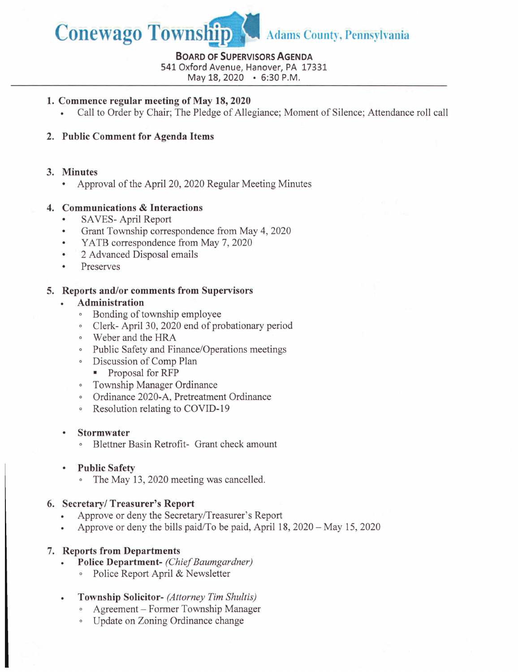

#### **Board of Supervisors Agenda**

541 Oxford Avenue, Hanover, PA 17331

May 18, 2020 • 6:30 P.M.

## **1. Commence regular meeting of May 18, 2020**

• Call to Order by Chair; The Pledge of Allegiance; Moment of Silence; Attendance roll call

# **2. Public Comment for Agenda Items**

### **3. Minutes**

• Approval of the April 20, 2020 Regular Meeting Minutes

## **4. Communications & Interactions**

- SAVES- April Report
- Grant Township correspondence from May 4, 2020
- YATB correspondence from May 7, 2020
- 2 Advanced Disposal emails
- Preserves

### **5. Reports and/or comments from Supervisors**

- **Administration**
	- ° Bonding of township employee
	- ° Clerk- April 30, 2020 end of probationary period
	- ° Weber and the HRA
	- ° Public Safety and Finance/Operations meetings
	- ° Discussion of Comp Plan
		- Proposal for RFP
	- ° Township Manager Ordinance
	- ° Ordinance 2020-A, Pretreatment Ordinance
	- ° Resolution relating to COVID-19

#### **• Stormwater**

- ° Blettner Basin Retrofit- Grant check amount
- **Public Safety**
	- The May 13, 2020 meeting was cancelled.

## **6. Secretary/Treasurer's Report**

- Approve or deny the Secretary/Treasurer's Report
- Approve or deny the bills paid/To be paid, April 18, 2020 May 15, 2020

## **7. Reports from Departments**

- **. Police Department-** *(Chief Baumgardner)*
	- ° Police Report April & Newsletter
- **. Township Solicitor-** *(Attorney Tim Shultis)*
	- ° Agreement Former Township Manager
	- ° Update on Zoning Ordinance change